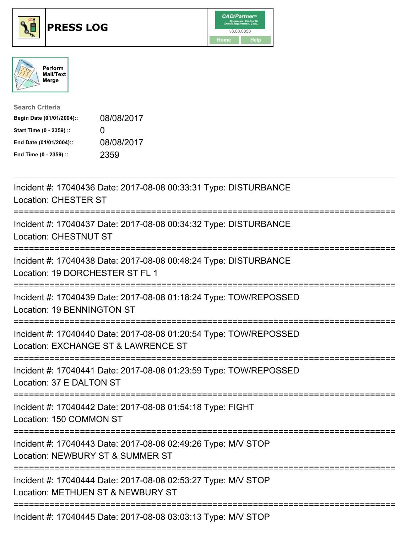





| <b>Search Criteria</b>    |              |
|---------------------------|--------------|
| Begin Date (01/01/2004):: | 08/08/2017   |
| Start Time (0 - 2359) ::  | $\mathbf{I}$ |
| End Date (01/01/2004)::   | 08/08/2017   |
| End Time (0 - 2359) ::    | 2359         |

| Incident #: 17040436 Date: 2017-08-08 00:33:31 Type: DISTURBANCE<br><b>Location: CHESTER ST</b>                  |
|------------------------------------------------------------------------------------------------------------------|
| Incident #: 17040437 Date: 2017-08-08 00:34:32 Type: DISTURBANCE<br><b>Location: CHESTNUT ST</b><br>------------ |
| Incident #: 17040438 Date: 2017-08-08 00:48:24 Type: DISTURBANCE<br>Location: 19 DORCHESTER ST FL 1              |
| Incident #: 17040439 Date: 2017-08-08 01:18:24 Type: TOW/REPOSSED<br>Location: 19 BENNINGTON ST<br>------------- |
| Incident #: 17040440 Date: 2017-08-08 01:20:54 Type: TOW/REPOSSED<br>Location: EXCHANGE ST & LAWRENCE ST         |
| Incident #: 17040441 Date: 2017-08-08 01:23:59 Type: TOW/REPOSSED<br>Location: 37 E DALTON ST                    |
| Incident #: 17040442 Date: 2017-08-08 01:54:18 Type: FIGHT<br>Location: 150 COMMON ST                            |
| Incident #: 17040443 Date: 2017-08-08 02:49:26 Type: M/V STOP<br>Location: NEWBURY ST & SUMMER ST                |
| Incident #: 17040444 Date: 2017-08-08 02:53:27 Type: M/V STOP<br>Location: METHUEN ST & NEWBURY ST               |
| Incident #: 17040445 Date: 2017-08-08 03:03:13 Type: M/V STOP                                                    |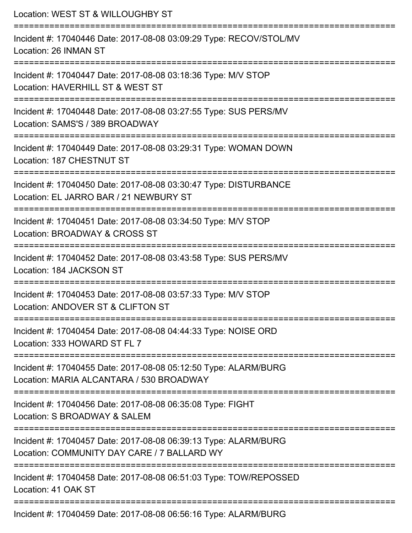| Location: WEST ST & WILLOUGHBY ST                                                                                                                                         |
|---------------------------------------------------------------------------------------------------------------------------------------------------------------------------|
| Incident #: 17040446 Date: 2017-08-08 03:09:29 Type: RECOV/STOL/MV<br>Location: 26 INMAN ST<br>===================================                                        |
| Incident #: 17040447 Date: 2017-08-08 03:18:36 Type: M/V STOP<br>Location: HAVERHILL ST & WEST ST                                                                         |
| Incident #: 17040448 Date: 2017-08-08 03:27:55 Type: SUS PERS/MV<br>Location: SAMS'S / 389 BROADWAY                                                                       |
| :======================<br>Incident #: 17040449 Date: 2017-08-08 03:29:31 Type: WOMAN DOWN<br>Location: 187 CHESTNUT ST                                                   |
| Incident #: 17040450 Date: 2017-08-08 03:30:47 Type: DISTURBANCE<br>Location: EL JARRO BAR / 21 NEWBURY ST<br>:=======================<br>=============================== |
| Incident #: 17040451 Date: 2017-08-08 03:34:50 Type: M/V STOP<br>Location: BROADWAY & CROSS ST                                                                            |
| Incident #: 17040452 Date: 2017-08-08 03:43:58 Type: SUS PERS/MV<br>Location: 184 JACKSON ST                                                                              |
| Incident #: 17040453 Date: 2017-08-08 03:57:33 Type: M/V STOP<br>Location: ANDOVER ST & CLIFTON ST                                                                        |
| Incident #: 17040454 Date: 2017-08-08 04:44:33 Type: NOISE ORD<br>Location: 333 HOWARD ST FL 7                                                                            |
| Incident #: 17040455 Date: 2017-08-08 05:12:50 Type: ALARM/BURG<br>Location: MARIA ALCANTARA / 530 BROADWAY                                                               |
| Incident #: 17040456 Date: 2017-08-08 06:35:08 Type: FIGHT<br>Location: S BROADWAY & SALEM                                                                                |
| Incident #: 17040457 Date: 2017-08-08 06:39:13 Type: ALARM/BURG<br>Location: COMMUNITY DAY CARE / 7 BALLARD WY                                                            |
| Incident #: 17040458 Date: 2017-08-08 06:51:03 Type: TOW/REPOSSED<br>Location: 41 OAK ST                                                                                  |
| Incident #: 17040459 Date: 2017-08-08 06:56:16 Type: ALARM/BURG                                                                                                           |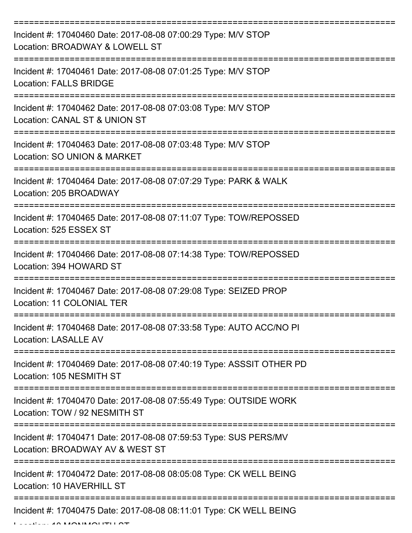| Incident #: 17040460 Date: 2017-08-08 07:00:29 Type: M/V STOP<br>Location: BROADWAY & LOWELL ST     |
|-----------------------------------------------------------------------------------------------------|
| Incident #: 17040461 Date: 2017-08-08 07:01:25 Type: M/V STOP<br><b>Location: FALLS BRIDGE</b>      |
| Incident #: 17040462 Date: 2017-08-08 07:03:08 Type: M/V STOP<br>Location: CANAL ST & UNION ST      |
| Incident #: 17040463 Date: 2017-08-08 07:03:48 Type: M/V STOP<br>Location: SO UNION & MARKET        |
| Incident #: 17040464 Date: 2017-08-08 07:07:29 Type: PARK & WALK<br>Location: 205 BROADWAY          |
| Incident #: 17040465 Date: 2017-08-08 07:11:07 Type: TOW/REPOSSED<br>Location: 525 ESSEX ST         |
| Incident #: 17040466 Date: 2017-08-08 07:14:38 Type: TOW/REPOSSED<br>Location: 394 HOWARD ST        |
| Incident #: 17040467 Date: 2017-08-08 07:29:08 Type: SEIZED PROP<br>Location: 11 COLONIAL TER       |
| Incident #: 17040468 Date: 2017-08-08 07:33:58 Type: AUTO ACC/NO PI<br><b>Location: LASALLE AV</b>  |
| Incident #: 17040469 Date: 2017-08-08 07:40:19 Type: ASSSIT OTHER PD<br>Location: 105 NESMITH ST    |
| Incident #: 17040470 Date: 2017-08-08 07:55:49 Type: OUTSIDE WORK<br>Location: TOW / 92 NESMITH ST  |
| Incident #: 17040471 Date: 2017-08-08 07:59:53 Type: SUS PERS/MV<br>Location: BROADWAY AV & WEST ST |
| Incident #: 17040472 Date: 2017-08-08 08:05:08 Type: CK WELL BEING<br>Location: 10 HAVERHILL ST     |
| Incident #: 17040475 Date: 2017-08-08 08:11:01 Type: CK WELL BEING                                  |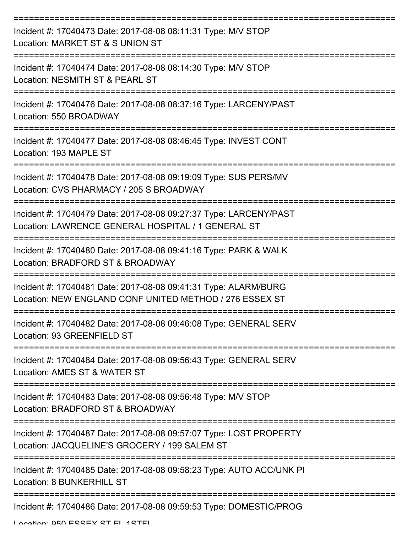| Incident #: 17040473 Date: 2017-08-08 08:11:31 Type: M/V STOP<br>Location: MARKET ST & S UNION ST                          |
|----------------------------------------------------------------------------------------------------------------------------|
| Incident #: 17040474 Date: 2017-08-08 08:14:30 Type: M/V STOP<br>Location: NESMITH ST & PEARL ST                           |
| Incident #: 17040476 Date: 2017-08-08 08:37:16 Type: LARCENY/PAST<br>Location: 550 BROADWAY                                |
| Incident #: 17040477 Date: 2017-08-08 08:46:45 Type: INVEST CONT<br>Location: 193 MAPLE ST                                 |
| Incident #: 17040478 Date: 2017-08-08 09:19:09 Type: SUS PERS/MV<br>Location: CVS PHARMACY / 205 S BROADWAY                |
| Incident #: 17040479 Date: 2017-08-08 09:27:37 Type: LARCENY/PAST<br>Location: LAWRENCE GENERAL HOSPITAL / 1 GENERAL ST    |
| Incident #: 17040480 Date: 2017-08-08 09:41:16 Type: PARK & WALK<br>Location: BRADFORD ST & BROADWAY                       |
| Incident #: 17040481 Date: 2017-08-08 09:41:31 Type: ALARM/BURG<br>Location: NEW ENGLAND CONF UNITED METHOD / 276 ESSEX ST |
| Incident #: 17040482 Date: 2017-08-08 09:46:08 Type: GENERAL SERV<br>Location: 93 GREENFIELD ST                            |
| Incident #: 17040484 Date: 2017-08-08 09:56:43 Type: GENERAL SERV<br>Location: AMES ST & WATER ST                          |
| Incident #: 17040483 Date: 2017-08-08 09:56:48 Type: M/V STOP<br>Location: BRADFORD ST & BROADWAY                          |
| Incident #: 17040487 Date: 2017-08-08 09:57:07 Type: LOST PROPERTY<br>Location: JACQUELINE'S GROCERY / 199 SALEM ST        |
| Incident #: 17040485 Date: 2017-08-08 09:58:23 Type: AUTO ACC/UNK PI<br><b>Location: 8 BUNKERHILL ST</b>                   |
| Incident #: 17040486 Date: 2017-08-08 09:59:53 Type: DOMESTIC/PROG                                                         |

Location: 050 ESSEY ST EL 1STEL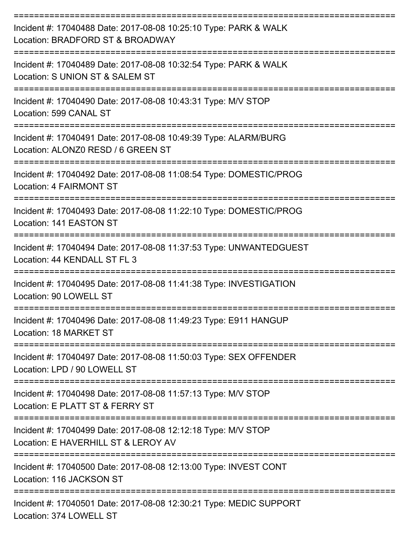| Incident #: 17040488 Date: 2017-08-08 10:25:10 Type: PARK & WALK<br>Location: BRADFORD ST & BROADWAY                            |
|---------------------------------------------------------------------------------------------------------------------------------|
| Incident #: 17040489 Date: 2017-08-08 10:32:54 Type: PARK & WALK<br>Location: S UNION ST & SALEM ST                             |
| Incident #: 17040490 Date: 2017-08-08 10:43:31 Type: M/V STOP<br>Location: 599 CANAL ST                                         |
| Incident #: 17040491 Date: 2017-08-08 10:49:39 Type: ALARM/BURG<br>Location: ALONZ0 RESD / 6 GREEN ST                           |
| Incident #: 17040492 Date: 2017-08-08 11:08:54 Type: DOMESTIC/PROG<br>Location: 4 FAIRMONT ST                                   |
| ==============================<br>Incident #: 17040493 Date: 2017-08-08 11:22:10 Type: DOMESTIC/PROG<br>Location: 141 EASTON ST |
| Incident #: 17040494 Date: 2017-08-08 11:37:53 Type: UNWANTEDGUEST<br>Location: 44 KENDALL ST FL 3                              |
| Incident #: 17040495 Date: 2017-08-08 11:41:38 Type: INVESTIGATION<br>Location: 90 LOWELL ST                                    |
| Incident #: 17040496 Date: 2017-08-08 11:49:23 Type: E911 HANGUP<br>Location: 18 MARKET ST                                      |
| ======================<br>Incident #: 17040497 Date: 2017-08-08 11:50:03 Type: SEX OFFENDER<br>Location: LPD / 90 LOWELL ST     |
| Incident #: 17040498 Date: 2017-08-08 11:57:13 Type: M/V STOP<br>Location: E PLATT ST & FERRY ST                                |
| Incident #: 17040499 Date: 2017-08-08 12:12:18 Type: M/V STOP<br>Location: E HAVERHILL ST & LEROY AV                            |
| Incident #: 17040500 Date: 2017-08-08 12:13:00 Type: INVEST CONT<br>Location: 116 JACKSON ST                                    |
| Incident #: 17040501 Date: 2017-08-08 12:30:21 Type: MEDIC SUPPORT<br>Location: 374 LOWELL ST                                   |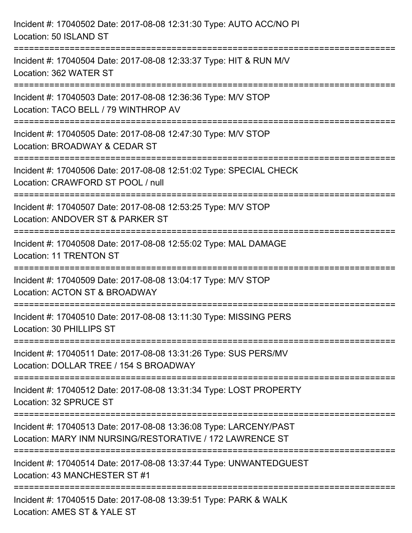| Incident #: 17040502 Date: 2017-08-08 12:31:30 Type: AUTO ACC/NO PI<br>Location: 50 ISLAND ST                                 |
|-------------------------------------------------------------------------------------------------------------------------------|
| Incident #: 17040504 Date: 2017-08-08 12:33:37 Type: HIT & RUN M/V<br>Location: 362 WATER ST                                  |
| Incident #: 17040503 Date: 2017-08-08 12:36:36 Type: M/V STOP<br>Location: TACO BELL / 79 WINTHROP AV                         |
| Incident #: 17040505 Date: 2017-08-08 12:47:30 Type: M/V STOP<br>Location: BROADWAY & CEDAR ST                                |
| Incident #: 17040506 Date: 2017-08-08 12:51:02 Type: SPECIAL CHECK<br>Location: CRAWFORD ST POOL / null                       |
| Incident #: 17040507 Date: 2017-08-08 12:53:25 Type: M/V STOP<br>Location: ANDOVER ST & PARKER ST                             |
| Incident #: 17040508 Date: 2017-08-08 12:55:02 Type: MAL DAMAGE<br><b>Location: 11 TRENTON ST</b>                             |
| Incident #: 17040509 Date: 2017-08-08 13:04:17 Type: M/V STOP<br>Location: ACTON ST & BROADWAY                                |
| Incident #: 17040510 Date: 2017-08-08 13:11:30 Type: MISSING PERS<br>Location: 30 PHILLIPS ST                                 |
| Incident #: 17040511 Date: 2017-08-08 13:31:26 Type: SUS PERS/MV<br>Location: DOLLAR TREE / 154 S BROADWAY                    |
| Incident #: 17040512 Date: 2017-08-08 13:31:34 Type: LOST PROPERTY<br>Location: 32 SPRUCE ST                                  |
| Incident #: 17040513 Date: 2017-08-08 13:36:08 Type: LARCENY/PAST<br>Location: MARY INM NURSING/RESTORATIVE / 172 LAWRENCE ST |
| Incident #: 17040514 Date: 2017-08-08 13:37:44 Type: UNWANTEDGUEST<br>Location: 43 MANCHESTER ST #1                           |
| Incident #: 17040515 Date: 2017-08-08 13:39:51 Type: PARK & WALK<br>Location: AMES ST & YALE ST                               |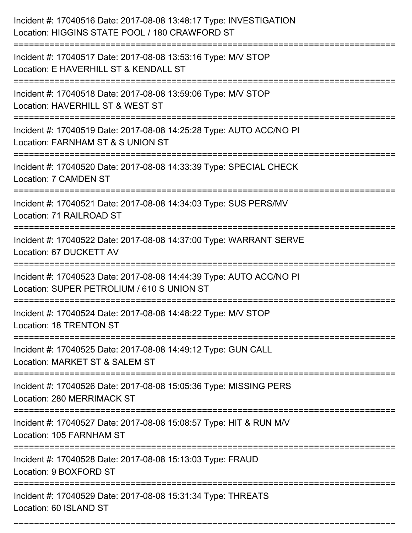| Incident #: 17040516 Date: 2017-08-08 13:48:17 Type: INVESTIGATION<br>Location: HIGGINS STATE POOL / 180 CRAWFORD ST |
|----------------------------------------------------------------------------------------------------------------------|
| Incident #: 17040517 Date: 2017-08-08 13:53:16 Type: M/V STOP<br>Location: E HAVERHILL ST & KENDALL ST               |
| Incident #: 17040518 Date: 2017-08-08 13:59:06 Type: M/V STOP<br>Location: HAVERHILL ST & WEST ST                    |
| Incident #: 17040519 Date: 2017-08-08 14:25:28 Type: AUTO ACC/NO PI<br>Location: FARNHAM ST & S UNION ST             |
| Incident #: 17040520 Date: 2017-08-08 14:33:39 Type: SPECIAL CHECK<br><b>Location: 7 CAMDEN ST</b>                   |
| Incident #: 17040521 Date: 2017-08-08 14:34:03 Type: SUS PERS/MV<br>Location: 71 RAILROAD ST                         |
| Incident #: 17040522 Date: 2017-08-08 14:37:00 Type: WARRANT SERVE<br>Location: 67 DUCKETT AV                        |
| Incident #: 17040523 Date: 2017-08-08 14:44:39 Type: AUTO ACC/NO PI<br>Location: SUPER PETROLIUM / 610 S UNION ST    |
| Incident #: 17040524 Date: 2017-08-08 14:48:22 Type: M/V STOP<br>Location: 18 TRENTON ST                             |
| Incident #: 17040525 Date: 2017-08-08 14:49:12 Type: GUN CALL<br>Location: MARKET ST & SALEM ST                      |
| Incident #: 17040526 Date: 2017-08-08 15:05:36 Type: MISSING PERS<br>Location: 280 MERRIMACK ST                      |
| Incident #: 17040527 Date: 2017-08-08 15:08:57 Type: HIT & RUN M/V<br>Location: 105 FARNHAM ST                       |
| ==============<br>Incident #: 17040528 Date: 2017-08-08 15:13:03 Type: FRAUD<br>Location: 9 BOXFORD ST               |
| Incident #: 17040529 Date: 2017-08-08 15:31:34 Type: THREATS<br>Location: 60 ISLAND ST                               |

===========================================================================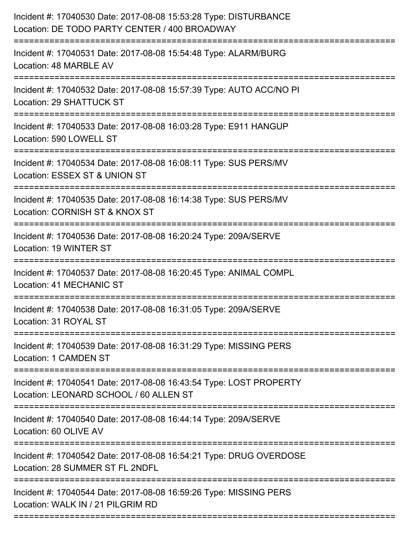| =========================<br>========================= | Incident #: 17040530 Date: 2017-08-08 15:53:28 Type: DISTURBANCE<br>Location: DE TODO PARTY CENTER / 400 BROADWAY |
|--------------------------------------------------------|-------------------------------------------------------------------------------------------------------------------|
|                                                        | Incident #: 17040531 Date: 2017-08-08 15:54:48 Type: ALARM/BURG<br>Location: 48 MARBLE AV                         |
|                                                        | Incident #: 17040532 Date: 2017-08-08 15:57:39 Type: AUTO ACC/NO PI<br>Location: 29 SHATTUCK ST                   |
|                                                        | Incident #: 17040533 Date: 2017-08-08 16:03:28 Type: E911 HANGUP<br>Location: 590 LOWELL ST                       |
|                                                        | Incident #: 17040534 Date: 2017-08-08 16:08:11 Type: SUS PERS/MV<br>Location: ESSEX ST & UNION ST                 |
|                                                        | Incident #: 17040535 Date: 2017-08-08 16:14:38 Type: SUS PERS/MV<br>Location: CORNISH ST & KNOX ST                |
|                                                        | Incident #: 17040536 Date: 2017-08-08 16:20:24 Type: 209A/SERVE<br>Location: 19 WINTER ST                         |
|                                                        | Incident #: 17040537 Date: 2017-08-08 16:20:45 Type: ANIMAL COMPL<br>Location: 41 MECHANIC ST                     |
|                                                        | Incident #: 17040538 Date: 2017-08-08 16:31:05 Type: 209A/SERVE<br>Location: 31 ROYAL ST                          |
|                                                        | Incident #: 17040539 Date: 2017-08-08 16:31:29 Type: MISSING PERS<br><b>Location: 1 CAMDEN ST</b>                 |
|                                                        | Incident #: 17040541 Date: 2017-08-08 16:43:54 Type: LOST PROPERTY<br>Location: LEONARD SCHOOL / 60 ALLEN ST      |
|                                                        | Incident #: 17040540 Date: 2017-08-08 16:44:14 Type: 209A/SERVE<br>Location: 60 OLIVE AV                          |
|                                                        | Incident #: 17040542 Date: 2017-08-08 16:54:21 Type: DRUG OVERDOSE<br>Location: 28 SUMMER ST FL 2NDFL             |
|                                                        | Incident #: 17040544 Date: 2017-08-08 16:59:26 Type: MISSING PERS<br>Location: WALK IN / 21 PILGRIM RD            |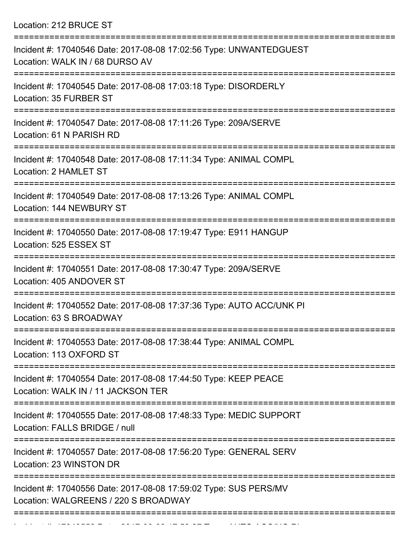Location: 212 BRUCE ST

| Incident #: 17040546 Date: 2017-08-08 17:02:56 Type: UNWANTEDGUEST<br>Location: WALK IN / 68 DURSO AV                      |
|----------------------------------------------------------------------------------------------------------------------------|
| Incident #: 17040545 Date: 2017-08-08 17:03:18 Type: DISORDERLY<br>Location: 35 FURBER ST                                  |
| Incident #: 17040547 Date: 2017-08-08 17:11:26 Type: 209A/SERVE<br>Location: 61 N PARISH RD                                |
| Incident #: 17040548 Date: 2017-08-08 17:11:34 Type: ANIMAL COMPL<br>Location: 2 HAMLET ST                                 |
| Incident #: 17040549 Date: 2017-08-08 17:13:26 Type: ANIMAL COMPL<br>Location: 144 NEWBURY ST                              |
| Incident #: 17040550 Date: 2017-08-08 17:19:47 Type: E911 HANGUP<br>Location: 525 ESSEX ST                                 |
| Incident #: 17040551 Date: 2017-08-08 17:30:47 Type: 209A/SERVE<br>Location: 405 ANDOVER ST                                |
| Incident #: 17040552 Date: 2017-08-08 17:37:36 Type: AUTO ACC/UNK PI<br>Location: 63 S BROADWAY                            |
| Incident #: 17040553 Date: 2017-08-08 17:38:44 Type: ANIMAL COMPL<br>Location: 113 OXFORD ST                               |
| =================<br>Incident #: 17040554 Date: 2017-08-08 17:44:50 Type: KEEP PEACE<br>Location: WALK IN / 11 JACKSON TER |
| Incident #: 17040555 Date: 2017-08-08 17:48:33 Type: MEDIC SUPPORT<br>Location: FALLS BRIDGE / null                        |
| Incident #: 17040557 Date: 2017-08-08 17:56:20 Type: GENERAL SERV<br>Location: 23 WINSTON DR                               |
| Incident #: 17040556 Date: 2017-08-08 17:59:02 Type: SUS PERS/MV<br>Location: WALGREENS / 220 S BROADWAY                   |
|                                                                                                                            |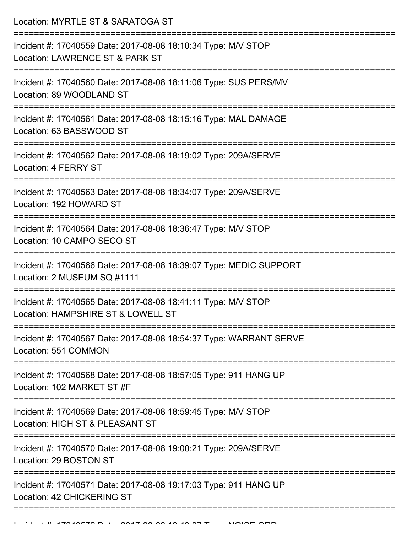Location: MYRTLE ST & SARATOGA ST

| Incident #: 17040559 Date: 2017-08-08 18:10:34 Type: M/V STOP<br>Location: LAWRENCE ST & PARK ST    |
|-----------------------------------------------------------------------------------------------------|
| Incident #: 17040560 Date: 2017-08-08 18:11:06 Type: SUS PERS/MV<br>Location: 89 WOODLAND ST        |
| Incident #: 17040561 Date: 2017-08-08 18:15:16 Type: MAL DAMAGE<br>Location: 63 BASSWOOD ST         |
| Incident #: 17040562 Date: 2017-08-08 18:19:02 Type: 209A/SERVE<br>Location: 4 FERRY ST             |
| Incident #: 17040563 Date: 2017-08-08 18:34:07 Type: 209A/SERVE<br>Location: 192 HOWARD ST          |
| Incident #: 17040564 Date: 2017-08-08 18:36:47 Type: M/V STOP<br>Location: 10 CAMPO SECO ST         |
| Incident #: 17040566 Date: 2017-08-08 18:39:07 Type: MEDIC SUPPORT<br>Location: 2 MUSEUM SQ #1111   |
| Incident #: 17040565 Date: 2017-08-08 18:41:11 Type: M/V STOP<br>Location: HAMPSHIRE ST & LOWELL ST |
| Incident #: 17040567 Date: 2017-08-08 18:54:37 Type: WARRANT SERVE<br>Location: 551 COMMON          |
| Incident #: 17040568 Date: 2017-08-08 18:57:05 Type: 911 HANG UP<br>Location: 102 MARKET ST #F      |
| Incident #: 17040569 Date: 2017-08-08 18:59:45 Type: M/V STOP<br>Location: HIGH ST & PLEASANT ST    |
| Incident #: 17040570 Date: 2017-08-08 19:00:21 Type: 209A/SERVE<br>Location: 29 BOSTON ST           |
| Incident #: 17040571 Date: 2017-08-08 19:17:03 Type: 911 HANG UP<br>Location: 42 CHICKERING ST      |
|                                                                                                     |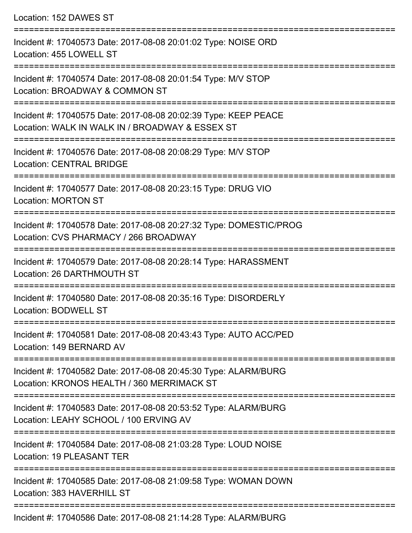Location: 152 DAWES ST

=========================================================================== Incident #: 17040573 Date: 2017-08-08 20:01:02 Type: NOISE ORD Location: 455 LOWELL ST =========================================================================== Incident #: 17040574 Date: 2017-08-08 20:01:54 Type: M/V STOP Location: BROADWAY & COMMON ST =========================================================================== Incident #: 17040575 Date: 2017-08-08 20:02:39 Type: KEEP PEACE Location: WALK IN WALK IN / BROADWAY & ESSEX ST =========================================================================== Incident #: 17040576 Date: 2017-08-08 20:08:29 Type: M/V STOP Location: CENTRAL BRIDGE =========================================================================== Incident #: 17040577 Date: 2017-08-08 20:23:15 Type: DRUG VIO Location: MORTON ST =========================================================================== Incident #: 17040578 Date: 2017-08-08 20:27:32 Type: DOMESTIC/PROG Location: CVS PHARMACY / 266 BROADWAY =========================================================================== Incident #: 17040579 Date: 2017-08-08 20:28:14 Type: HARASSMENT Location: 26 DARTHMOUTH ST =========================================================================== Incident #: 17040580 Date: 2017-08-08 20:35:16 Type: DISORDERLY Location: BODWELL ST =========================================================================== Incident #: 17040581 Date: 2017-08-08 20:43:43 Type: AUTO ACC/PED Location: 149 BERNARD AV =========================================================================== Incident #: 17040582 Date: 2017-08-08 20:45:30 Type: ALARM/BURG Location: KRONOS HEALTH / 360 MERRIMACK ST =========================================================================== Incident #: 17040583 Date: 2017-08-08 20:53:52 Type: ALARM/BURG Location: LEAHY SCHOOL / 100 ERVING AV =========================================================================== Incident #: 17040584 Date: 2017-08-08 21:03:28 Type: LOUD NOISE Location: 19 PLEASANT TER =========================================================================== Incident #: 17040585 Date: 2017-08-08 21:09:58 Type: WOMAN DOWN Location: 383 HAVERHILL ST ===========================================================================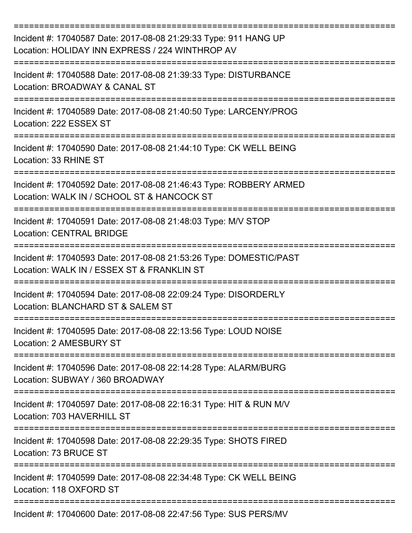| Incident #: 17040587 Date: 2017-08-08 21:29:33 Type: 911 HANG UP<br>Location: HOLIDAY INN EXPRESS / 224 WINTHROP AV<br>=================== |
|--------------------------------------------------------------------------------------------------------------------------------------------|
| Incident #: 17040588 Date: 2017-08-08 21:39:33 Type: DISTURBANCE<br>Location: BROADWAY & CANAL ST                                          |
| Incident #: 17040589 Date: 2017-08-08 21:40:50 Type: LARCENY/PROG<br>Location: 222 ESSEX ST                                                |
| Incident #: 17040590 Date: 2017-08-08 21:44:10 Type: CK WELL BEING<br>Location: 33 RHINE ST                                                |
| Incident #: 17040592 Date: 2017-08-08 21:46:43 Type: ROBBERY ARMED<br>Location: WALK IN / SCHOOL ST & HANCOCK ST                           |
| Incident #: 17040591 Date: 2017-08-08 21:48:03 Type: M/V STOP<br><b>Location: CENTRAL BRIDGE</b>                                           |
| Incident #: 17040593 Date: 2017-08-08 21:53:26 Type: DOMESTIC/PAST<br>Location: WALK IN / ESSEX ST & FRANKLIN ST                           |
| Incident #: 17040594 Date: 2017-08-08 22:09:24 Type: DISORDERLY<br>Location: BLANCHARD ST & SALEM ST                                       |
| Incident #: 17040595 Date: 2017-08-08 22:13:56 Type: LOUD NOISE<br>Location: 2 AMESBURY ST                                                 |
| Incident #: 17040596 Date: 2017-08-08 22:14:28 Type: ALARM/BURG<br>Location: SUBWAY / 360 BROADWAY                                         |
| Incident #: 17040597 Date: 2017-08-08 22:16:31 Type: HIT & RUN M/V<br>Location: 703 HAVERHILL ST                                           |
| Incident #: 17040598 Date: 2017-08-08 22:29:35 Type: SHOTS FIRED<br>Location: 73 BRUCE ST                                                  |
| Incident #: 17040599 Date: 2017-08-08 22:34:48 Type: CK WELL BEING<br>Location: 118 OXFORD ST                                              |
| Incident #: 17040600 Date: 2017-08-08 22:47:56 Type: SUS PERS/MV                                                                           |